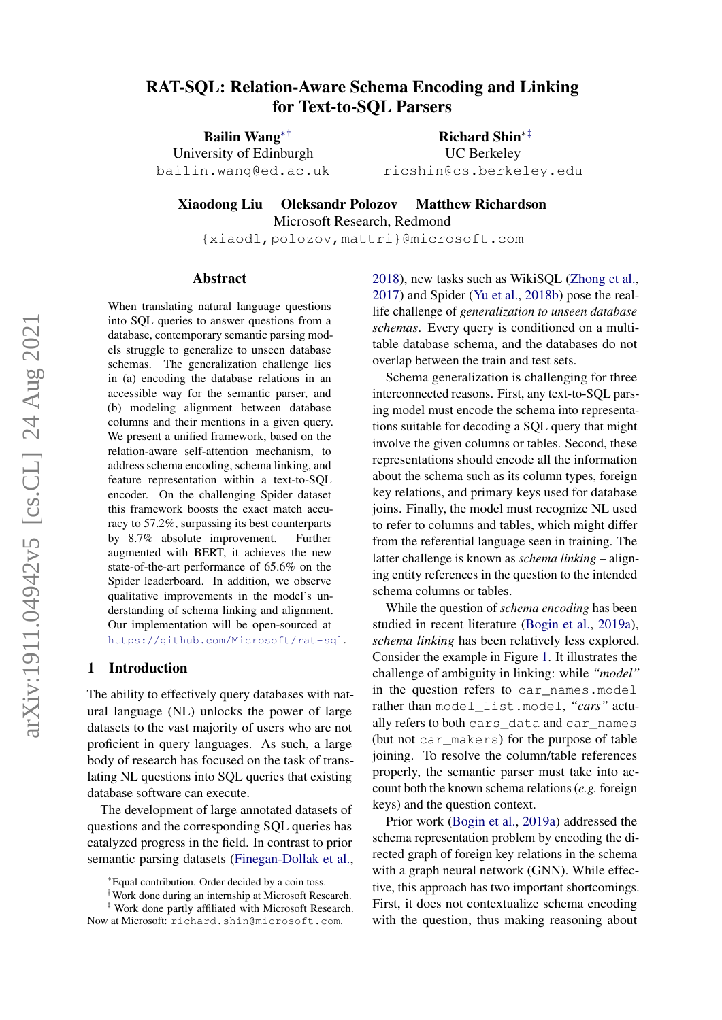# arXiv:1911.04942v5 [cs.CL] 24 Aug 2021 arXiv:1911.04942v5 [cs.CL] 24 Aug 2021

# <span id="page-0-0"></span>RAT-SQL: Relation-Aware Schema Encoding and Linking for Text-to-SQL Parsers

Bailin Wang∗† University of Edinburgh bailin.wang@ed.ac.uk

Richard Shin∗‡ UC Berkeley ricshin@cs.berkeley.edu

Xiaodong Liu Oleksandr Polozov Matthew Richardson

Microsoft Research, Redmond

{xiaodl,polozov,mattri}@microsoft.com

#### Abstract

When translating natural language questions into SQL queries to answer questions from a database, contemporary semantic parsing models struggle to generalize to unseen database schemas. The generalization challenge lies in (a) encoding the database relations in an accessible way for the semantic parser, and (b) modeling alignment between database columns and their mentions in a given query. We present a unified framework, based on the relation-aware self-attention mechanism, to address schema encoding, schema linking, and feature representation within a text-to-SQL encoder. On the challenging Spider dataset this framework boosts the exact match accuracy to 57.2%, surpassing its best counterparts by 8.7% absolute improvement. Further augmented with BERT, it achieves the new state-of-the-art performance of 65.6% on the Spider leaderboard. In addition, we observe qualitative improvements in the model's understanding of schema linking and alignment. Our implementation will be open-sourced at <https://github.com/Microsoft/rat-sql>.

# 1 Introduction

The ability to effectively query databases with natural language (NL) unlocks the power of large datasets to the vast majority of users who are not proficient in query languages. As such, a large body of research has focused on the task of translating NL questions into SQL queries that existing database software can execute.

The development of large annotated datasets of questions and the corresponding SQL queries has catalyzed progress in the field. In contrast to prior semantic parsing datasets [\(Finegan-Dollak et al.,](#page-9-0) [2018\)](#page-9-0), new tasks such as WikiSQL [\(Zhong et al.,](#page-10-0) [2017\)](#page-10-0) and Spider [\(Yu et al.,](#page-10-1) [2018b\)](#page-10-1) pose the reallife challenge of *generalization to unseen database schemas*. Every query is conditioned on a multitable database schema, and the databases do not overlap between the train and test sets.

Schema generalization is challenging for three interconnected reasons. First, any text-to-SQL parsing model must encode the schema into representations suitable for decoding a SQL query that might involve the given columns or tables. Second, these representations should encode all the information about the schema such as its column types, foreign key relations, and primary keys used for database joins. Finally, the model must recognize NL used to refer to columns and tables, which might differ from the referential language seen in training. The latter challenge is known as *schema linking* – aligning entity references in the question to the intended schema columns or tables.

While the question of *schema encoding* has been studied in recent literature [\(Bogin et al.,](#page-9-1) [2019a\)](#page-9-1), *schema linking* has been relatively less explored. Consider the example in Figure [1.](#page-1-0) It illustrates the challenge of ambiguity in linking: while *"model"* in the question refers to car\_names.model rather than model\_list.model, *"cars"* actually refers to both cars\_data and car\_names (but not car\_makers) for the purpose of table joining. To resolve the column/table references properly, the semantic parser must take into account both the known schema relations (*e.g.* foreign keys) and the question context.

Prior work [\(Bogin et al.,](#page-9-1) [2019a\)](#page-9-1) addressed the schema representation problem by encoding the directed graph of foreign key relations in the schema with a graph neural network (GNN). While effective, this approach has two important shortcomings. First, it does not contextualize schema encoding with the question, thus making reasoning about

<sup>∗</sup>Equal contribution. Order decided by a coin toss.

<sup>†</sup>Work done during an internship at Microsoft Research.

<sup>‡</sup> Work done partly affiliated with Microsoft Research. Now at Microsoft: richard.shin@microsoft.com.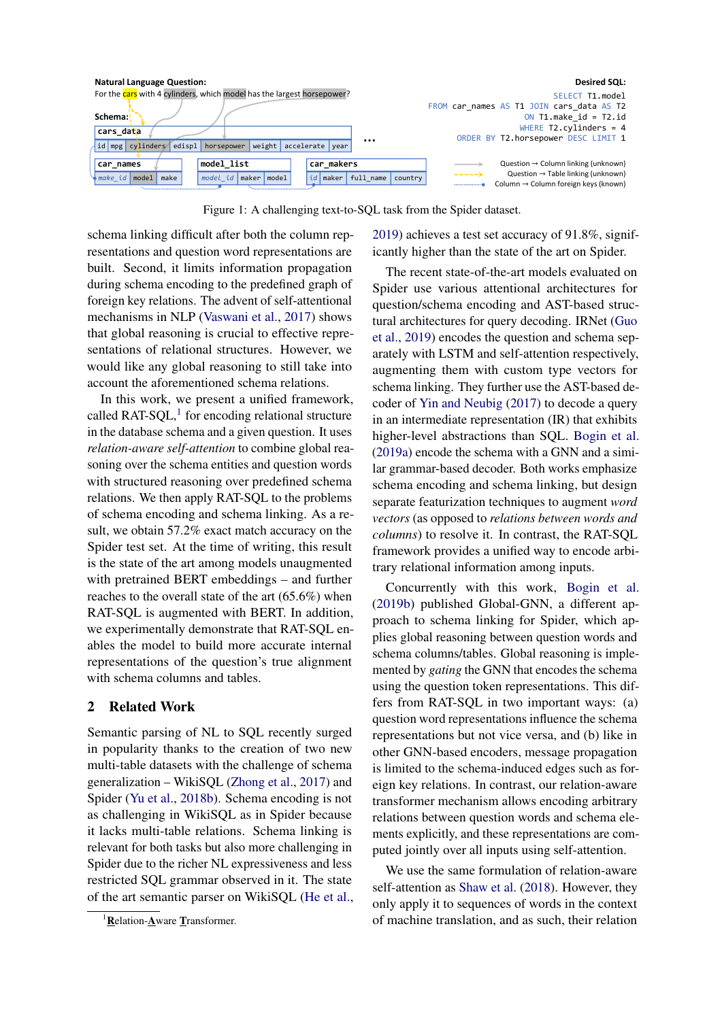<span id="page-1-0"></span>

Figure 1: A challenging text-to-SQL task from the Spider dataset.

schema linking difficult after both the column representations and question word representations are built. Second, it limits information propagation during schema encoding to the predefined graph of foreign key relations. The advent of self-attentional mechanisms in NLP [\(Vaswani et al.,](#page-10-2) [2017\)](#page-10-2) shows that global reasoning is crucial to effective representations of relational structures. However, we would like any global reasoning to still take into account the aforementioned schema relations.

In this work, we present a unified framework, called RAT-SQL, $<sup>1</sup>$  $<sup>1</sup>$  $<sup>1</sup>$  for encoding relational structure</sup> in the database schema and a given question. It uses *relation-aware self-attention* to combine global reasoning over the schema entities and question words with structured reasoning over predefined schema relations. We then apply RAT-SQL to the problems of schema encoding and schema linking. As a result, we obtain 57.2% exact match accuracy on the Spider test set. At the time of writing, this result is the state of the art among models unaugmented with pretrained BERT embeddings – and further reaches to the overall state of the art (65.6%) when RAT-SQL is augmented with BERT. In addition, we experimentally demonstrate that RAT-SQL enables the model to build more accurate internal representations of the question's true alignment with schema columns and tables.

# 2 Related Work

Semantic parsing of NL to SQL recently surged in popularity thanks to the creation of two new multi-table datasets with the challenge of schema generalization – WikiSQL [\(Zhong et al.,](#page-10-0) [2017\)](#page-10-0) and Spider [\(Yu et al.,](#page-10-1) [2018b\)](#page-10-1). Schema encoding is not as challenging in WikiSQL as in Spider because it lacks multi-table relations. Schema linking is relevant for both tasks but also more challenging in Spider due to the richer NL expressiveness and less restricted SQL grammar observed in it. The state of the art semantic parser on WikiSQL [\(He et al.,](#page-9-2) [2019\)](#page-9-2) achieves a test set accuracy of 91.8%, significantly higher than the state of the art on Spider.

The recent state-of-the-art models evaluated on Spider use various attentional architectures for question/schema encoding and AST-based structural architectures for query decoding. IRNet [\(Guo](#page-9-3) [et al.,](#page-9-3) [2019\)](#page-9-3) encodes the question and schema separately with LSTM and self-attention respectively, augmenting them with custom type vectors for schema linking. They further use the AST-based decoder of [Yin and Neubig](#page-10-3) [\(2017\)](#page-10-3) to decode a query in an intermediate representation (IR) that exhibits higher-level abstractions than SQL. [Bogin et al.](#page-9-1) [\(2019a\)](#page-9-1) encode the schema with a GNN and a similar grammar-based decoder. Both works emphasize schema encoding and schema linking, but design separate featurization techniques to augment *word vectors* (as opposed to *relations between words and columns*) to resolve it. In contrast, the RAT-SQL framework provides a unified way to encode arbitrary relational information among inputs.

Concurrently with this work, [Bogin et al.](#page-9-4) [\(2019b\)](#page-9-4) published Global-GNN, a different approach to schema linking for Spider, which applies global reasoning between question words and schema columns/tables. Global reasoning is implemented by *gating* the GNN that encodes the schema using the question token representations. This differs from RAT-SQL in two important ways: (a) question word representations influence the schema representations but not vice versa, and (b) like in other GNN-based encoders, message propagation is limited to the schema-induced edges such as foreign key relations. In contrast, our relation-aware transformer mechanism allows encoding arbitrary relations between question words and schema elements explicitly, and these representations are computed jointly over all inputs using self-attention.

We use the same formulation of relation-aware self-attention as [Shaw et al.](#page-10-4) [\(2018\)](#page-10-4). However, they only apply it to sequences of words in the context of machine translation, and as such, their relation

<sup>&</sup>lt;sup>1</sup>Relation-Aware Transformer.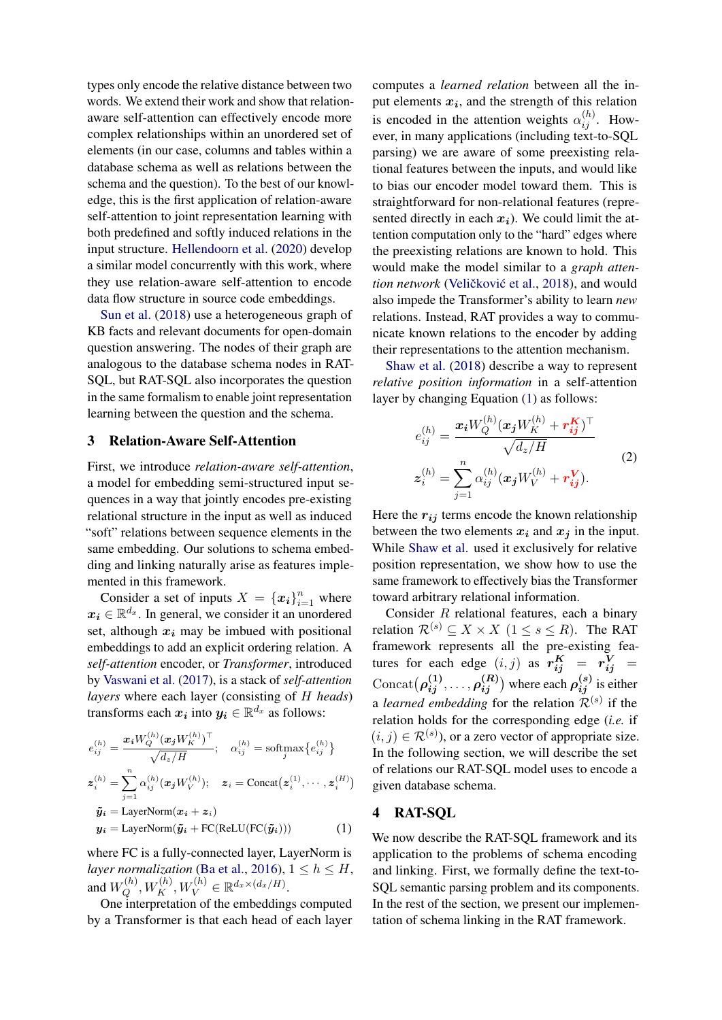types only encode the relative distance between two words. We extend their work and show that relationaware self-attention can effectively encode more complex relationships within an unordered set of elements (in our case, columns and tables within a database schema as well as relations between the schema and the question). To the best of our knowledge, this is the first application of relation-aware self-attention to joint representation learning with both predefined and softly induced relations in the input structure. [Hellendoorn et al.](#page-9-5) [\(2020\)](#page-9-5) develop a similar model concurrently with this work, where they use relation-aware self-attention to encode data flow structure in source code embeddings.

[Sun et al.](#page-10-5) [\(2018\)](#page-10-5) use a heterogeneous graph of KB facts and relevant documents for open-domain question answering. The nodes of their graph are analogous to the database schema nodes in RAT-SQL, but RAT-SQL also incorporates the question in the same formalism to enable joint representation learning between the question and the schema.

#### <span id="page-2-1"></span>3 Relation-Aware Self-Attention

First, we introduce *relation-aware self-attention*, a model for embedding semi-structured input sequences in a way that jointly encodes pre-existing relational structure in the input as well as induced "soft" relations between sequence elements in the same embedding. Our solutions to schema embedding and linking naturally arise as features implemented in this framework.

Consider a set of inputs  $X = \{x_i\}_{i=1}^n$  where  $x_i \in \mathbb{R}^{d_x}$ . In general, we consider it an unordered set, although  $x_i$  may be imbued with positional embeddings to add an explicit ordering relation. A *self-attention* encoder, or *Transformer*, introduced by [Vaswani et al.](#page-10-2) [\(2017\)](#page-10-2), is a stack of *self-attention layers* where each layer (consisting of H *heads*) transforms each  $x_i$  into  $y_i \in \mathbb{R}^{d_x}$  as follows:

$$
e_{ij}^{(h)} = \frac{\boldsymbol{x}_i W_Q^{(h)} (\boldsymbol{x}_j W_K^{(h)})^\top}{\sqrt{d_z / H}}; \quad \alpha_{ij}^{(h)} = \text{softmax} \{ e_{ij}^{(h)} \}
$$

$$
\boldsymbol{z}_i^{(h)} = \sum_{j=1}^n \alpha_{ij}^{(h)} (\boldsymbol{x}_j W_V^{(h)}); \quad \boldsymbol{z}_i = \text{Concat}(\boldsymbol{z}_i^{(1)}, \cdots, \boldsymbol{z}_i^{(H)})
$$

$$
\tilde{\boldsymbol{y}}_i = \text{LayerNorm}(\boldsymbol{x}_i + \boldsymbol{z}_i)
$$

$$
\boldsymbol{y}_i = \text{LayerNorm}(\tilde{\boldsymbol{y}}_i + \text{FC}(\text{ReLU}(\text{FC}(\tilde{\boldsymbol{y}}_i))) \tag{1}
$$

where FC is a fully-connected layer, LayerNorm is *layer normalization* [\(Ba et al.,](#page-9-6) [2016\)](#page-9-6),  $1 \leq h \leq H$ , and  $W_Q^{(h)}$  $Q^{(h)}_{Q}, W^{(h)}_{K}, W^{(h)}_{V} \in \mathbb{R}^{d_x \times (d_x/H)}.$ 

One interpretation of the embeddings computed by a Transformer is that each head of each layer

computes a *learned relation* between all the input elements  $x_i$ , and the strength of this relation is encoded in the attention weights  $\alpha_{ij}^{(h)}$ . However, in many applications (including text-to-SQL parsing) we are aware of some preexisting relational features between the inputs, and would like to bias our encoder model toward them. This is straightforward for non-relational features (represented directly in each  $x_i$ ). We could limit the attention computation only to the "hard" edges where the preexisting relations are known to hold. This would make the model similar to a *graph attention network* (Veličković et al., [2018\)](#page-10-6), and would also impede the Transformer's ability to learn *new* relations. Instead, RAT provides a way to communicate known relations to the encoder by adding their representations to the attention mechanism.

[Shaw et al.](#page-10-4) [\(2018\)](#page-10-4) describe a way to represent *relative position information* in a self-attention layer by changing Equation [\(1\)](#page-2-0) as follows:

$$
e_{ij}^{(h)} = \frac{\boldsymbol{x_i} W_Q^{(h)} (\boldsymbol{x_j} W_K^{(h)} + \boldsymbol{r_{ij}^K})^\top}{\sqrt{d_z / H}}
$$
  

$$
\boldsymbol{z}_i^{(h)} = \sum_{j=1}^n \alpha_{ij}^{(h)} (\boldsymbol{x_j} W_V^{(h)} + \boldsymbol{r_{ij}^V}).
$$
 (2)

Here the  $r_{ij}$  terms encode the known relationship between the two elements  $x_i$  and  $x_j$  in the input. While [Shaw et al.](#page-10-4) used it exclusively for relative position representation, we show how to use the same framework to effectively bias the Transformer toward arbitrary relational information.

Consider R relational features, each a binary relation  $\mathcal{R}^{(s)} \subset X \times X$  (1 < s < R). The RAT framework represents all the pre-existing features for each edge  $(i, j)$  as  $r_{ij}^K = r_{ij}^V =$  $\text{Concat}(\rho_{ij}^{(1)}, \ldots, \rho_{ij}^{(R)})$  where each  $\rho_{ij}^{(s)}$  is either a *learned embedding* for the relation  $\mathcal{R}^{(s)}$  if the relation holds for the corresponding edge (*i.e.* if  $(i, j) \in \mathcal{R}^{(s)}$ , or a zero vector of appropriate size. In the following section, we will describe the set of relations our RAT-SQL model uses to encode a given database schema.

# <span id="page-2-2"></span><span id="page-2-0"></span>4 RAT-SQL

We now describe the RAT-SQL framework and its application to the problems of schema encoding and linking. First, we formally define the text-to-SQL semantic parsing problem and its components. In the rest of the section, we present our implementation of schema linking in the RAT framework.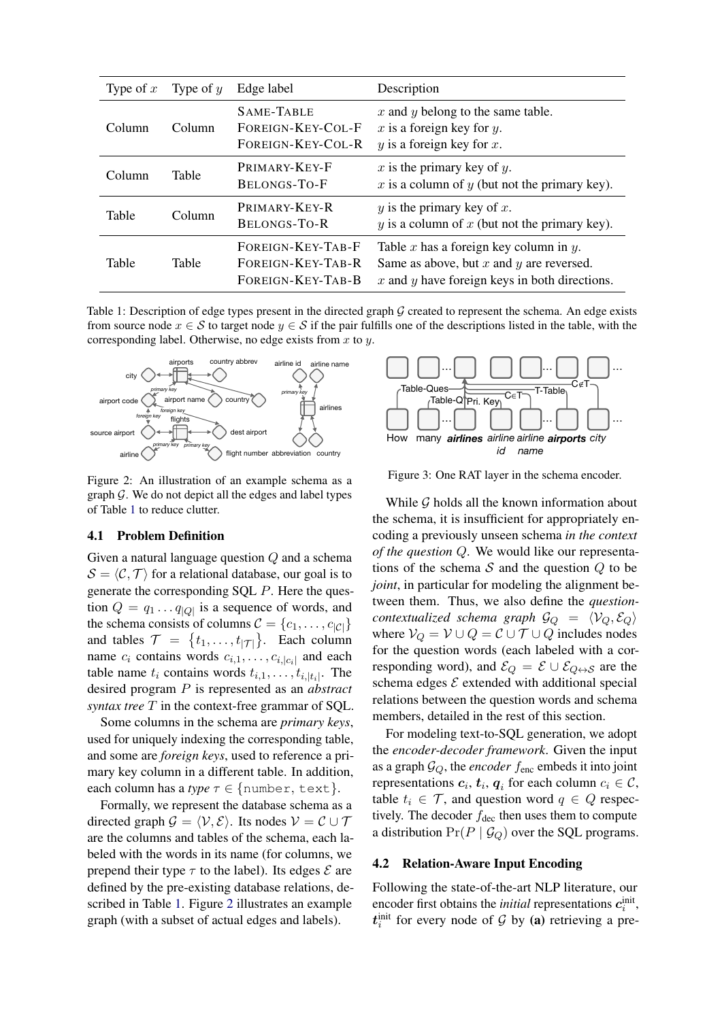<span id="page-3-0"></span>

| Type of $x$ | Type of $y$ | Edge label                                                  | Description                                                                                                                                    |
|-------------|-------------|-------------------------------------------------------------|------------------------------------------------------------------------------------------------------------------------------------------------|
| Column      | Column      | SAME-TABLE<br>FOREIGN-KEY-COL-F<br>FOREIGN-KEY-COL-R        | $x$ and $y$ belong to the same table.<br>x is a foreign key for $y$ .<br>$y$ is a foreign key for $x$ .                                        |
| Column      | Table       | PRIMARY-KEY-F<br>BELONGS-TO-F                               | $x$ is the primary key of $y$ .<br>$x$ is a column of $y$ (but not the primary key).                                                           |
| Table       | Column      | PRIMARY-KEY-R<br>BELONGS-TO-R                               | y is the primary key of x.<br>$y$ is a column of $x$ (but not the primary key).                                                                |
| Table       | Table       | FOREIGN-KEY-TAB-F<br>FOREIGN-KEY-TAB-R<br>FOREIGN-KEY-TAB-B | Table x has a foreign key column in $y$ .<br>Same as above, but $x$ and $y$ are reversed.<br>$x$ and $y$ have foreign keys in both directions. |

Table 1: Description of edge types present in the directed graph  $G$  created to represent the schema. An edge exists from source node  $x \in S$  to target node  $y \in S$  if the pair fulfills one of the descriptions listed in the table, with the corresponding label. Otherwise, no edge exists from  $x$  to  $y$ .

<span id="page-3-1"></span>

Figure 2: An illustration of an example schema as a graph  $G$ . We do not depict all the edges and label types of Table [1](#page-3-0) to reduce clutter.

#### 4.1 Problem Definition

Given a natural language question Q and a schema  $S = \langle C, \mathcal{T} \rangle$  for a relational database, our goal is to generate the corresponding SQL P. Here the question  $Q = q_1 \dots q_{|Q|}$  is a sequence of words, and the schema consists of columns  $C = \{c_1, \ldots, c_{|C|}\}\$ and tables  $\mathcal{T} = \{t_1, \ldots, t_{|\mathcal{T}|}\}.$  Each column name  $c_i$  contains words  $c_{i,1}, \ldots, c_{i,|c_i|}$  and each table name  $t_i$  contains words  $t_{i,1}, \ldots, t_{i,|t_i|}$ . The desired program P is represented as an *abstract syntax tree* T in the context-free grammar of SQL.

Some columns in the schema are *primary keys*, used for uniquely indexing the corresponding table, and some are *foreign keys*, used to reference a primary key column in a different table. In addition, each column has a *type*  $\tau \in \{\text{number, text}\}.$ 

Formally, we represent the database schema as a directed graph  $\mathcal{G} = \langle \mathcal{V}, \mathcal{E} \rangle$ . Its nodes  $\mathcal{V} = \mathcal{C} \cup \mathcal{T}$ are the columns and tables of the schema, each labeled with the words in its name (for columns, we prepend their type  $\tau$  to the label). Its edges  $\mathcal E$  are defined by the pre-existing database relations, described in Table [1.](#page-3-0) Figure [2](#page-3-1) illustrates an example graph (with a subset of actual edges and labels).



Figure 3: One RAT layer in the schema encoder.

While G holds all the known information about the schema, it is insufficient for appropriately encoding a previously unseen schema *in the context of the question* Q. We would like our representations of the schema  $S$  and the question  $Q$  to be *joint*, in particular for modeling the alignment between them. Thus, we also define the *questioncontextualized schema graph*  $\mathcal{G}_{Q} = \langle \mathcal{V}_{Q}, \mathcal{E}_{Q} \rangle$ where  $V_Q = V \cup Q = C \cup T \cup Q$  includes nodes for the question words (each labeled with a corresponding word), and  $\mathcal{E}_Q = \mathcal{E} \cup \mathcal{E}_{Q \leftrightarrow S}$  are the schema edges  $\mathcal E$  extended with additional special relations between the question words and schema members, detailed in the rest of this section.

For modeling text-to-SQL generation, we adopt the *encoder-decoder framework*. Given the input as a graph  $\mathcal{G}_Q$ , the *encoder*  $f_{\text{enc}}$  embeds it into joint representations  $c_i$ ,  $t_i$ ,  $q_i$  for each column  $c_i \in \mathcal{C}$ , table  $t_i \in \mathcal{T}$ , and question word  $q \in Q$  respectively. The decoder  $f_{\text{dec}}$  then uses them to compute a distribution  $Pr(P | \mathcal{G}_Q)$  over the SQL programs.

#### <span id="page-3-2"></span>4.2 Relation-Aware Input Encoding

Following the state-of-the-art NLP literature, our encoder first obtains the *initial* representations  $c_i^{\text{init}}$ ,  $t_i^{\text{init}}$  for every node of G by (a) retrieving a pre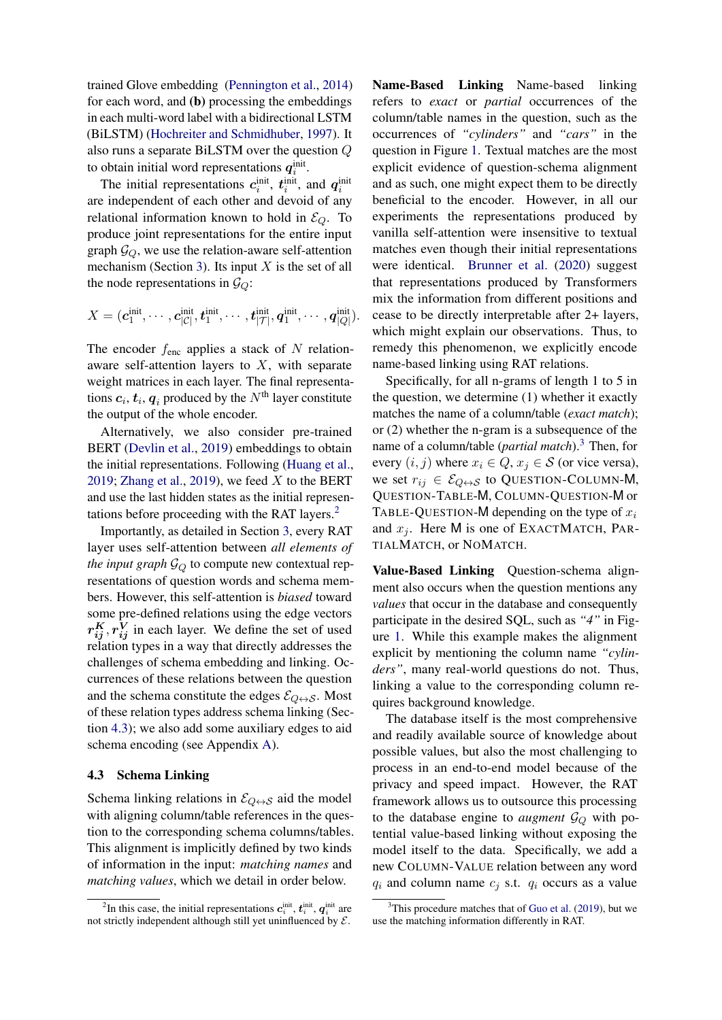trained Glove embedding [\(Pennington et al.,](#page-10-7) [2014\)](#page-10-7) for each word, and (b) processing the embeddings in each multi-word label with a bidirectional LSTM (BiLSTM) [\(Hochreiter and Schmidhuber,](#page-9-7) [1997\)](#page-9-7). It also runs a separate BiLSTM over the question Q to obtain initial word representations  $q_i^{\text{init}}$ .

The initial representations  $c_i^{\text{init}}$ ,  $t_i^{\text{init}}$ , and  $q_i^{\text{init}}$ are independent of each other and devoid of any relational information known to hold in  $\mathcal{E}_{Q}$ . To produce joint representations for the entire input graph  $\mathcal{G}_O$ , we use the relation-aware self-attention mechanism (Section [3\)](#page-2-1). Its input  $X$  is the set of all the node representations in  $\mathcal{G}_Q$ :

$$
X=(\pmb{c}_1^\text{init},\cdots,\pmb{c}_{|\mathcal{C}|}^\text{init},\pmb{t}_1^\text{init},\cdots,\pmb{t}_{|\mathcal{T}|}^\text{init},\pmb{q}_1^\text{init},\cdots,\pmb{q}_{|Q|}^\text{init}).
$$

The encoder  $f_{\text{enc}}$  applies a stack of N relationaware self-attention layers to  $X$ , with separate weight matrices in each layer. The final representations  $\boldsymbol{c}_i, \boldsymbol{t}_i, \boldsymbol{q}_i$  produced by the  $N^{\text{th}}$  layer constitute the output of the whole encoder.

Alternatively, we also consider pre-trained BERT [\(Devlin et al.,](#page-9-8) [2019\)](#page-9-8) embeddings to obtain the initial representations. Following [\(Huang et al.,](#page-9-9) [2019;](#page-9-9) [Zhang et al.,](#page-10-8) [2019\)](#page-10-8), we feed  $X$  to the BERT and use the last hidden states as the initial representations before proceeding with the RAT layers.[2](#page-0-0)

Importantly, as detailed in Section [3,](#page-2-1) every RAT layer uses self-attention between *all elements of the input graph*  $\mathcal{G}_{Q}$  to compute new contextual representations of question words and schema members. However, this self-attention is *biased* toward some pre-defined relations using the edge vectors  $r_{ij}^K, r_{ij}^V$  in each layer. We define the set of used relation types in a way that directly addresses the challenges of schema embedding and linking. Occurrences of these relations between the question and the schema constitute the edges  $\mathcal{E}_{Q \leftrightarrow S}$ . Most of these relation types address schema linking (Section [4.3\)](#page-4-0); we also add some auxiliary edges to aid schema encoding (see Appendix [A\)](#page-11-0).

#### <span id="page-4-0"></span>4.3 Schema Linking

Schema linking relations in  $\mathcal{E}_{Q \leftrightarrow S}$  aid the model with aligning column/table references in the question to the corresponding schema columns/tables. This alignment is implicitly defined by two kinds of information in the input: *matching names* and *matching values*, which we detail in order below.

Name-Based Linking Name-based linking refers to *exact* or *partial* occurrences of the column/table names in the question, such as the occurrences of *"cylinders"* and *"cars"* in the question in Figure [1.](#page-1-0) Textual matches are the most explicit evidence of question-schema alignment and as such, one might expect them to be directly beneficial to the encoder. However, in all our experiments the representations produced by vanilla self-attention were insensitive to textual matches even though their initial representations were identical. [Brunner et al.](#page-9-10) [\(2020\)](#page-9-10) suggest that representations produced by Transformers mix the information from different positions and cease to be directly interpretable after 2+ layers, which might explain our observations. Thus, to remedy this phenomenon, we explicitly encode name-based linking using RAT relations.

Specifically, for all n-grams of length 1 to 5 in the question, we determine (1) whether it exactly matches the name of a column/table (*exact match*); or (2) whether the n-gram is a subsequence of the name of a column/table (*partial match*).[3](#page-0-0) Then, for every  $(i, j)$  where  $x_i \in Q$ ,  $x_j \in S$  (or vice versa), we set  $r_{ij} \in \mathcal{E}_{Q \leftrightarrow S}$  to QUESTION-COLUMN-M, QUESTION-TABLE-M, COLUMN-QUESTION-M or TABLE-QUESTION-M depending on the type of  $x_i$ and  $x_i$ . Here M is one of EXACTMATCH, PAR-TIALMATCH, or NOMATCH.

Value-Based Linking Question-schema alignment also occurs when the question mentions any *values* that occur in the database and consequently participate in the desired SQL, such as *"4"* in Figure [1.](#page-1-0) While this example makes the alignment explicit by mentioning the column name *"cylinders"*, many real-world questions do not. Thus, linking a value to the corresponding column requires background knowledge.

The database itself is the most comprehensive and readily available source of knowledge about possible values, but also the most challenging to process in an end-to-end model because of the privacy and speed impact. However, the RAT framework allows us to outsource this processing to the database engine to *augment*  $\mathcal{G}_Q$  with potential value-based linking without exposing the model itself to the data. Specifically, we add a new COLUMN-VALUE relation between any word  $q_i$  and column name  $c_i$  s.t.  $q_i$  occurs as a value

<sup>&</sup>lt;sup>2</sup>In this case, the initial representations  $c_i^{\text{init}}, t_i^{\text{init}}, q_i^{\text{init}}$  are not strictly independent although still yet uninfluenced by  $\mathcal{E}$ .

 $3$ This procedure matches that of [Guo et al.](#page-9-3) [\(2019\)](#page-9-3), but we use the matching information differently in RAT.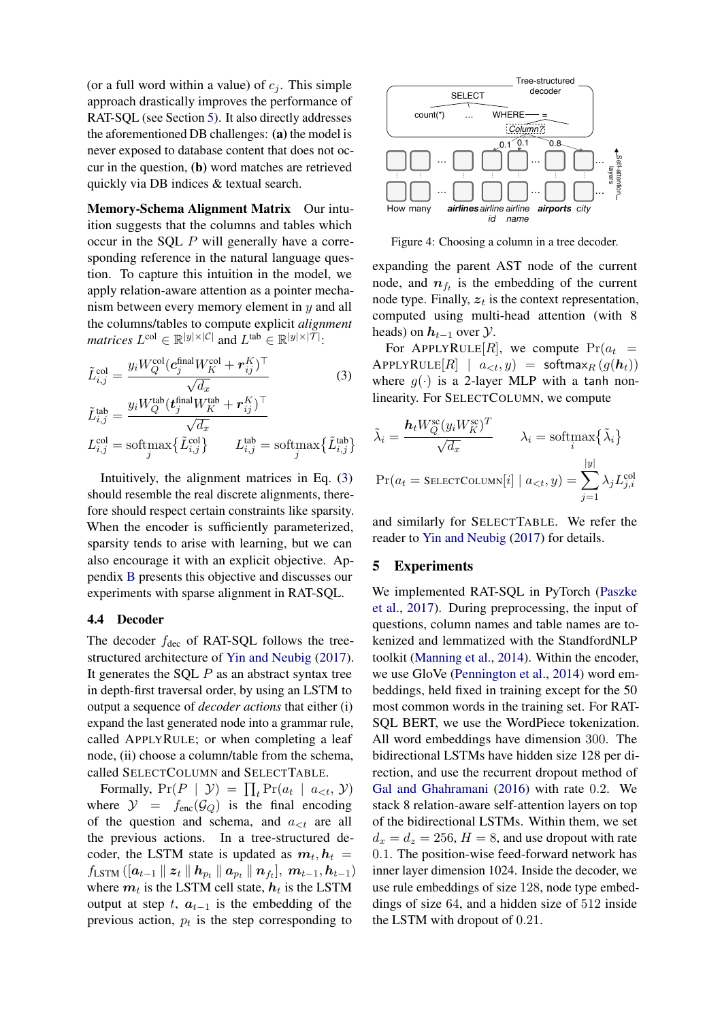(or a full word within a value) of  $c_j$ . This simple approach drastically improves the performance of RAT-SQL (see Section [5\)](#page-5-0). It also directly addresses the aforementioned DB challenges: (a) the model is never exposed to database content that does not occur in the question, (b) word matches are retrieved quickly via DB indices & textual search.

Memory-Schema Alignment Matrix Our intuition suggests that the columns and tables which occur in the SQL P will generally have a corresponding reference in the natural language question. To capture this intuition in the model, we apply relation-aware attention as a pointer mechanism between every memory element in y and all the columns/tables to compute explicit *alignment matrices*  $L^{\text{col}} \in \mathbb{R}^{|y| \times |\mathcal{C}|}$  and  $L^{\text{tab}} \in \mathbb{R}^{|y| \times |\mathcal{T}|}$ :

$$
\tilde{L}_{i,j}^{\text{col}} = \frac{y_i W_Q^{\text{col}} (\mathbf{c}_j^{\text{final}} W_K^{\text{col}} + \mathbf{r}_{ij}^K)^\top}{\sqrt{d_x}}
$$
\n
$$
\tilde{L}_{i,j}^{\text{tab}} = \frac{y_i W_Q^{\text{tab}} (\mathbf{t}_j^{\text{final}} W_K^{\text{tab}} + \mathbf{r}_{ij}^K)^\top}{\sqrt{d_x}}
$$
\n
$$
L_{i,j}^{\text{col}} = \text{softmax} \{ \tilde{L}_{i,j}^{\text{col}} \} \qquad L_{i,j}^{\text{lab}} = \text{softmax} \{ \tilde{L}_{i,j}^{\text{lab}} \}
$$
\n(3)

Intuitively, the alignment matrices in Eq. [\(3\)](#page-5-1) should resemble the real discrete alignments, therefore should respect certain constraints like sparsity. When the encoder is sufficiently parameterized, sparsity tends to arise with learning, but we can also encourage it with an explicit objective. Appendix [B](#page-11-1) presents this objective and discusses our experiments with sparse alignment in RAT-SQL.

## 4.4 Decoder

The decoder  $f_{\text{dec}}$  of RAT-SQL follows the treestructured architecture of [Yin and Neubig](#page-10-3) [\(2017\)](#page-10-3). It generates the SQL  $P$  as an abstract syntax tree in depth-first traversal order, by using an LSTM to output a sequence of *decoder actions* that either (i) expand the last generated node into a grammar rule, called APPLYRULE; or when completing a leaf node, (ii) choose a column/table from the schema, called SELECTCOLUMN and SELECTTABLE.

Formally,  $Pr(P | \mathcal{Y}) = \prod_t Pr(a_t | a_{$ where  $\mathcal{Y} = f_{\text{enc}}(\mathcal{G}_Q)$  is the final encoding of the question and schema, and  $a_{\leq t}$  are all the previous actions. In a tree-structured decoder, the LSTM state is updated as  $m_t$ ,  $h_t$  =  $f_{\rm LSTM}\left(\left[\bm{a}_{t-1}\parallel\bm{z}_{t}\parallel\bm{h}_{p_t}\parallel\bm{a}_{p_t}\parallel\bm{n}_{f_t}\right],\ \bm{m}_{t-1},\bm{h}_{t-1}\right)$ where  $m_t$  is the LSTM cell state,  $h_t$  is the LSTM output at step t,  $a_{t-1}$  is the embedding of the previous action,  $p_t$  is the step corresponding to



Figure 4: Choosing a column in a tree decoder.

expanding the parent AST node of the current node, and  $n_{f_t}$  is the embedding of the current node type. Finally,  $z_t$  is the context representation, computed using multi-head attention (with 8 heads) on  $h_{t-1}$  over  $\mathcal{Y}$ .

<span id="page-5-1"></span>For APPLYRULE[R], we compute  $Pr(a_t =$ APPLYRULE $[R]$  |  $a_{\leq t}, y$  = softmax $_R (g(h_t))$ where  $g(\cdot)$  is a 2-layer MLP with a tanh nonlinearity. For SELECTCOLUMN, we compute

$$
\tilde{\lambda}_{i} = \frac{\mathbf{h}_{t} W_{Q}^{\text{sc}}(y_{i} W_{K}^{\text{sc}})^{T}}{\sqrt{d_{x}}} \qquad \lambda_{i} = \text{softmax} \{\tilde{\lambda}_{i}\}
$$
\n
$$
\Pr(a_{t} = \text{SELECTCOLUTION}[i] \mid a_{< t}, y) = \sum_{j=1}^{|y|} \lambda_{j} L_{j,i}^{\text{col}}
$$

and similarly for SELECTTABLE. We refer the reader to [Yin and Neubig](#page-10-3) [\(2017\)](#page-10-3) for details.

#### <span id="page-5-0"></span>5 Experiments

We implemented RAT-SQL in PyTorch [\(Paszke](#page-9-11) [et al.,](#page-9-11) [2017\)](#page-9-11). During preprocessing, the input of questions, column names and table names are tokenized and lemmatized with the StandfordNLP toolkit [\(Manning et al.,](#page-9-12) [2014\)](#page-9-12). Within the encoder, we use GloVe [\(Pennington et al.,](#page-10-7) [2014\)](#page-10-7) word embeddings, held fixed in training except for the 50 most common words in the training set. For RAT-SQL BERT, we use the WordPiece tokenization. All word embeddings have dimension 300. The bidirectional LSTMs have hidden size 128 per direction, and use the recurrent dropout method of [Gal and Ghahramani](#page-9-13) [\(2016\)](#page-9-13) with rate 0.2. We stack 8 relation-aware self-attention layers on top of the bidirectional LSTMs. Within them, we set  $d_x = d_z = 256$ ,  $H = 8$ , and use dropout with rate 0.1. The position-wise feed-forward network has inner layer dimension 1024. Inside the decoder, we use rule embeddings of size 128, node type embeddings of size 64, and a hidden size of 512 inside the LSTM with dropout of 0.21.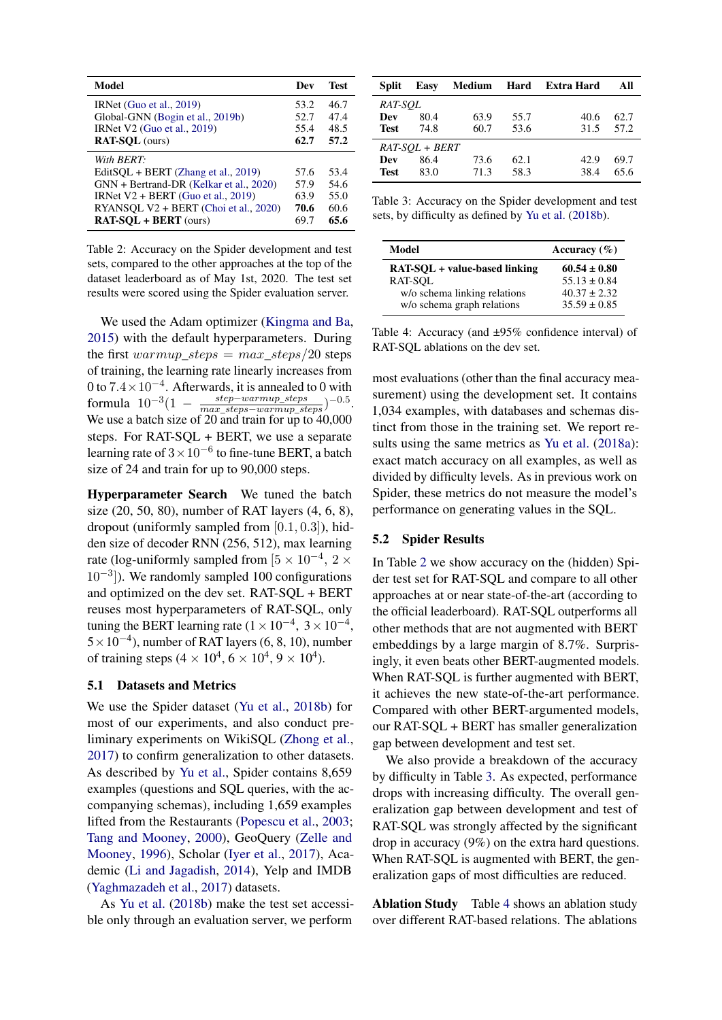<span id="page-6-0"></span>

| Model                                   | Dev  | <b>Test</b> |
|-----------------------------------------|------|-------------|
| IRNet (Guo et al., 2019)                | 53.2 | 46.7        |
| Global-GNN (Bogin et al., 2019b)        | 52.7 | 47.4        |
| IRNet V2 (Guo et al., 2019)             | 55.4 | 48.5        |
| <b>RAT-SQL</b> (ours)                   | 62.7 | 57.2        |
| With BERT:                              |      |             |
| EditSQL + BERT (Zhang et al., 2019)     | 57.6 | 53.4        |
| GNN + Bertrand-DR (Kelkar et al., 2020) | 57.9 | 54.6        |
| IRNet $V2 + BERT$ (Guo et al., 2019)    | 63.9 | 55.0        |
| RYANSOL V2 + BERT (Choi et al., 2020)   | 70.6 | 60.6        |
| <b>RAT-SOL + BERT</b> (ours)            | 69.7 | 65.6        |

Table 2: Accuracy on the Spider development and test sets, compared to the other approaches at the top of the dataset leaderboard as of May 1st, 2020. The test set results were scored using the Spider evaluation server.

We used the Adam optimizer [\(Kingma and Ba,](#page-9-16) [2015\)](#page-9-16) with the default hyperparameters. During the first warmup\_steps =  $max\_steps/20$  steps of training, the learning rate linearly increases from 0 to  $7.4 \times 10^{-4}$ . Afterwards, it is annealed to 0 with formula  $10^{-3}(1 - \frac{step-warmup\_steps}{max\_steps-warmup\_steps})^{-0.5}$ . We use a batch size of 20 and train for  $\overline{up}$  to 40,000 steps. For RAT-SQL + BERT, we use a separate learning rate of  $3 \times 10^{-6}$  to fine-tune BERT, a batch size of 24 and train for up to 90,000 steps.

Hyperparameter Search We tuned the batch size (20, 50, 80), number of RAT layers (4, 6, 8), dropout (uniformly sampled from [0.1, 0.3]), hidden size of decoder RNN (256, 512), max learning rate (log-uniformly sampled from  $[5 \times 10^{-4}, 2 \times$ 10<sup>-3</sup>]). We randomly sampled 100 configurations and optimized on the dev set. RAT-SQL + BERT reuses most hyperparameters of RAT-SQL, only tuning the BERT learning rate  $(1 \times 10^{-4}, 3 \times 10^{-4},$  $5 \times 10^{-4}$ ), number of RAT layers (6, 8, 10), number of training steps  $(4 \times 10^4, 6 \times 10^4, 9 \times 10^4)$ .

#### 5.1 Datasets and Metrics

We use the Spider dataset [\(Yu et al.,](#page-10-1) [2018b\)](#page-10-1) for most of our experiments, and also conduct preliminary experiments on WikiSQL [\(Zhong et al.,](#page-10-0) [2017\)](#page-10-0) to confirm generalization to other datasets. As described by [Yu et al.,](#page-10-1) Spider contains 8,659 examples (questions and SQL queries, with the accompanying schemas), including 1,659 examples lifted from the Restaurants [\(Popescu et al.,](#page-10-9) [2003;](#page-10-9) [Tang and Mooney,](#page-10-10) [2000\)](#page-10-10), GeoQuery [\(Zelle and](#page-10-11) [Mooney,](#page-10-11) [1996\)](#page-10-11), Scholar [\(Iyer et al.,](#page-9-17) [2017\)](#page-9-17), Academic [\(Li and Jagadish,](#page-9-18) [2014\)](#page-9-18), Yelp and IMDB [\(Yaghmazadeh et al.,](#page-10-12) [2017\)](#page-10-12) datasets.

As [Yu et al.](#page-10-1) [\(2018b\)](#page-10-1) make the test set accessible only through an evaluation server, we perform

<span id="page-6-1"></span>

| Split            | Easy |      |      | Medium Hard Extra Hard | All  |
|------------------|------|------|------|------------------------|------|
| RAT-SOL          |      |      |      |                        |      |
| Dev              | 80.4 | 63.9 | 55.7 | 40.6                   | 62.7 |
| <b>Test</b>      | 74.8 | 60.7 | 53.6 | 31.5                   | 57.2 |
| $RAT-SOL + BERT$ |      |      |      |                        |      |
| Dev              | 86.4 | 73.6 | 62.1 | 42.9                   | 69.7 |
| <b>Test</b>      | 83.0 | 71.3 | 58.3 | 38.4                   | 65.6 |

Table 3: Accuracy on the Spider development and test sets, by difficulty as defined by [Yu et al.](#page-10-1) [\(2018b\)](#page-10-1).

<span id="page-6-2"></span>

| Model                         | Accuracy $(\% )$ |
|-------------------------------|------------------|
| RAT-SOL + value-based linking | $60.54 \pm 0.80$ |
| RAT-SOL                       | $55.13 \pm 0.84$ |
| w/o schema linking relations  | $40.37 \pm 2.32$ |
| w/o schema graph relations    | $35.59 \pm 0.85$ |

Table 4: Accuracy (and ±95% confidence interval) of RAT-SQL ablations on the dev set.

most evaluations (other than the final accuracy measurement) using the development set. It contains 1,034 examples, with databases and schemas distinct from those in the training set. We report re-sults using the same metrics as [Yu et al.](#page-10-13) [\(2018a\)](#page-10-13): exact match accuracy on all examples, as well as divided by difficulty levels. As in previous work on Spider, these metrics do not measure the model's performance on generating values in the SQL.

#### 5.2 Spider Results

In Table [2](#page-6-0) we show accuracy on the (hidden) Spider test set for RAT-SQL and compare to all other approaches at or near state-of-the-art (according to the official leaderboard). RAT-SQL outperforms all other methods that are not augmented with BERT embeddings by a large margin of 8.7%. Surprisingly, it even beats other BERT-augmented models. When RAT-SQL is further augmented with BERT, it achieves the new state-of-the-art performance. Compared with other BERT-argumented models, our RAT-SQL + BERT has smaller generalization gap between development and test set.

We also provide a breakdown of the accuracy by difficulty in Table [3.](#page-6-1) As expected, performance drops with increasing difficulty. The overall generalization gap between development and test of RAT-SQL was strongly affected by the significant drop in accuracy (9%) on the extra hard questions. When RAT-SQL is augmented with BERT, the generalization gaps of most difficulties are reduced.

Ablation Study Table [4](#page-6-2) shows an ablation study over different RAT-based relations. The ablations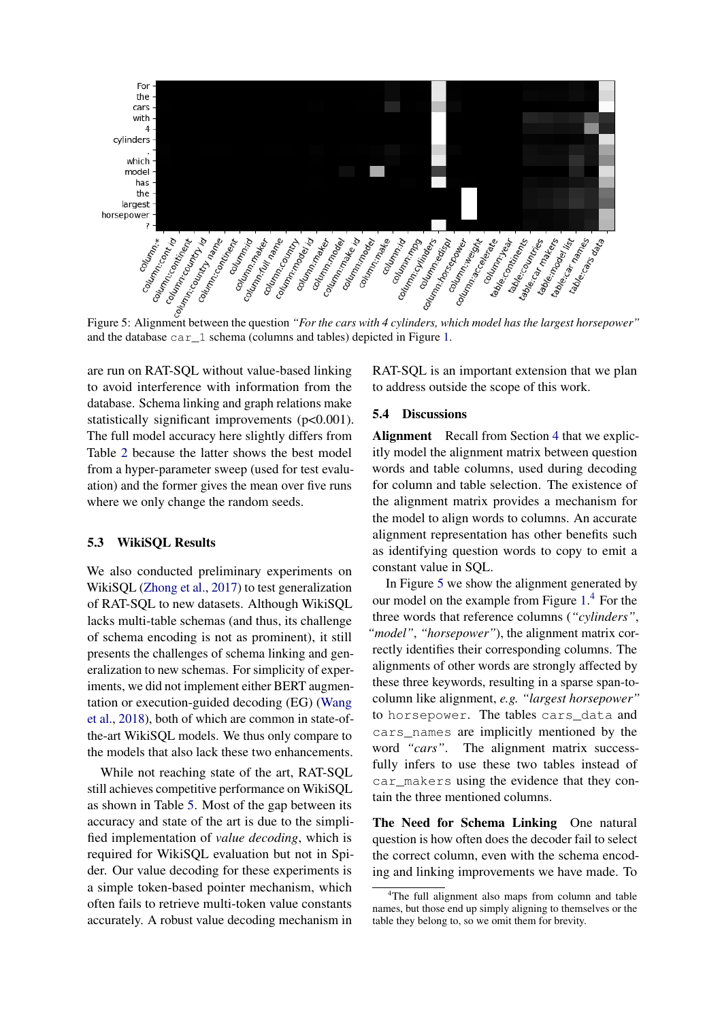<span id="page-7-0"></span>

and the database car\_1 schema (columns and tables) depicted in Figure [1.](#page-1-0)

are run on RAT-SQL without value-based linking to avoid interference with information from the database. Schema linking and graph relations make statistically significant improvements (p<0.001). The full model accuracy here slightly differs from Table [2](#page-6-0) because the latter shows the best model from a hyper-parameter sweep (used for test evaluation) and the former gives the mean over five runs where we only change the random seeds.

## 5.3 WikiSQL Results

We also conducted preliminary experiments on WikiSQL [\(Zhong et al.,](#page-10-0) [2017\)](#page-10-0) to test generalization of RAT-SQL to new datasets. Although WikiSQL lacks multi-table schemas (and thus, its challenge of schema encoding is not as prominent), it still presents the challenges of schema linking and generalization to new schemas. For simplicity of experiments, we did not implement either BERT augmentation or execution-guided decoding (EG) [\(Wang](#page-10-14) [et al.,](#page-10-14) [2018\)](#page-10-14), both of which are common in state-ofthe-art WikiSQL models. We thus only compare to the models that also lack these two enhancements.

While not reaching state of the art, RAT-SQL still achieves competitive performance on WikiSQL as shown in Table [5.](#page-8-0) Most of the gap between its accuracy and state of the art is due to the simplified implementation of *value decoding*, which is required for WikiSQL evaluation but not in Spider. Our value decoding for these experiments is a simple token-based pointer mechanism, which often fails to retrieve multi-token value constants accurately. A robust value decoding mechanism in

RAT-SQL is an important extension that we plan to address outside the scope of this work.

#### 5.4 Discussions

Alignment Recall from Section [4](#page-2-2) that we explicitly model the alignment matrix between question words and table columns, used during decoding for column and table selection. The existence of the alignment matrix provides a mechanism for the model to align words to columns. An accurate alignment representation has other benefits such as identifying question words to copy to emit a constant value in SQL.

In Figure [5](#page-7-0) we show the alignment generated by our model on the example from Figure [1.](#page-1-0) [4](#page-0-0) For the three words that reference columns (*"cylinders"*, *"model"*, *"horsepower"*), the alignment matrix correctly identifies their corresponding columns. The alignments of other words are strongly affected by these three keywords, resulting in a sparse span-tocolumn like alignment, *e.g. "largest horsepower"* to horsepower. The tables cars\_data and cars\_names are implicitly mentioned by the word *"cars"*. The alignment matrix successfully infers to use these two tables instead of car makers using the evidence that they contain the three mentioned columns.

The Need for Schema Linking One natural question is how often does the decoder fail to select the correct column, even with the schema encoding and linking improvements we have made. To

<sup>&</sup>lt;sup>4</sup>The full alignment also maps from column and table names, but those end up simply aligning to themselves or the table they belong to, so we omit them for brevity.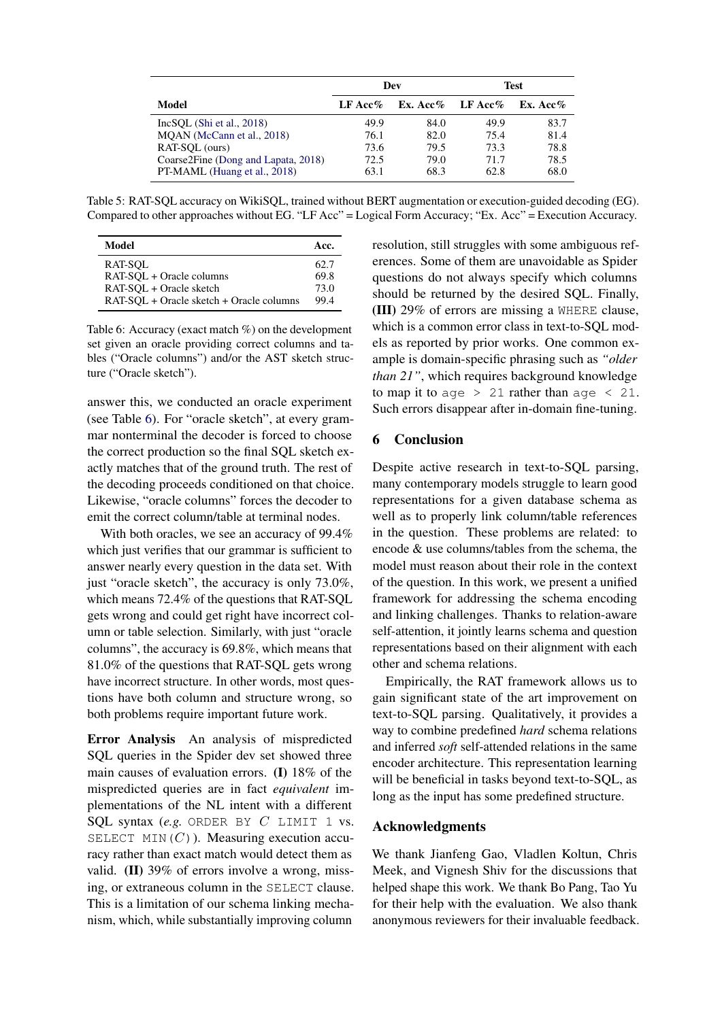<span id="page-8-0"></span>

|                                     | Dev         |                  | Test |          |
|-------------------------------------|-------------|------------------|------|----------|
| Model                               | LF Acc $\%$ | Ex. Acc% LF Acc% |      | Ex. Acc% |
| IncSOL(Shi et al., 2018)            | 49.9        | 84.0             | 49.9 | 83.7     |
| MOAN (McCann et al., 2018)          | 76.1        | 82.0             | 75.4 | 81.4     |
| RAT-SOL (ours)                      | 73.6        | 79.5             | 73.3 | 78.8     |
| Coarse2Fine (Dong and Lapata, 2018) | 72.5        | 79.0             | 71.7 | 78.5     |
| PT-MAML (Huang et al., 2018)        | 63.1        | 68.3             | 62.8 | 68.0     |

Table 5: RAT-SQL accuracy on WikiSQL, trained without BERT augmentation or execution-guided decoding (EG). Compared to other approaches without EG. "LF Acc" = Logical Form Accuracy; "Ex. Acc" = Execution Accuracy.

<span id="page-8-1"></span>

| Model                                    | Acc. |
|------------------------------------------|------|
| RAT-SOL                                  | 62.7 |
| RAT-SQL + Oracle columns                 | 69.8 |
| RAT-SQL + Oracle sketch                  | 73.0 |
| RAT-SQL + Oracle sketch + Oracle columns | 994  |

Table 6: Accuracy (exact match %) on the development set given an oracle providing correct columns and tables ("Oracle columns") and/or the AST sketch structure ("Oracle sketch").

answer this, we conducted an oracle experiment (see Table [6\)](#page-8-1). For "oracle sketch", at every grammar nonterminal the decoder is forced to choose the correct production so the final SQL sketch exactly matches that of the ground truth. The rest of the decoding proceeds conditioned on that choice. Likewise, "oracle columns" forces the decoder to emit the correct column/table at terminal nodes.

With both oracles, we see an accuracy of 99.4% which just verifies that our grammar is sufficient to answer nearly every question in the data set. With just "oracle sketch", the accuracy is only 73.0%, which means 72.4% of the questions that RAT-SQL gets wrong and could get right have incorrect column or table selection. Similarly, with just "oracle columns", the accuracy is 69.8%, which means that 81.0% of the questions that RAT-SQL gets wrong have incorrect structure. In other words, most questions have both column and structure wrong, so both problems require important future work.

Error Analysis An analysis of mispredicted SQL queries in the Spider dev set showed three main causes of evaluation errors. (I) 18% of the mispredicted queries are in fact *equivalent* implementations of the NL intent with a different SQL syntax (*e.g.* ORDER BY *C* LIMIT 1 vs. SELECT MIN $(C)$ ). Measuring execution accuracy rather than exact match would detect them as valid. (II) 39% of errors involve a wrong, missing, or extraneous column in the SELECT clause. This is a limitation of our schema linking mechanism, which, while substantially improving column

resolution, still struggles with some ambiguous references. Some of them are unavoidable as Spider questions do not always specify which columns should be returned by the desired SQL. Finally, (III) 29% of errors are missing a WHERE clause, which is a common error class in text-to-SQL models as reported by prior works. One common example is domain-specific phrasing such as *"older than 21"*, which requires background knowledge to map it to age  $> 21$  rather than age  $< 21$ . Such errors disappear after in-domain fine-tuning.

# 6 Conclusion

Despite active research in text-to-SQL parsing, many contemporary models struggle to learn good representations for a given database schema as well as to properly link column/table references in the question. These problems are related: to encode & use columns/tables from the schema, the model must reason about their role in the context of the question. In this work, we present a unified framework for addressing the schema encoding and linking challenges. Thanks to relation-aware self-attention, it jointly learns schema and question representations based on their alignment with each other and schema relations.

Empirically, the RAT framework allows us to gain significant state of the art improvement on text-to-SQL parsing. Qualitatively, it provides a way to combine predefined *hard* schema relations and inferred *soft* self-attended relations in the same encoder architecture. This representation learning will be beneficial in tasks beyond text-to-SQL, as long as the input has some predefined structure.

# Acknowledgments

We thank Jianfeng Gao, Vladlen Koltun, Chris Meek, and Vignesh Shiv for the discussions that helped shape this work. We thank Bo Pang, Tao Yu for their help with the evaluation. We also thank anonymous reviewers for their invaluable feedback.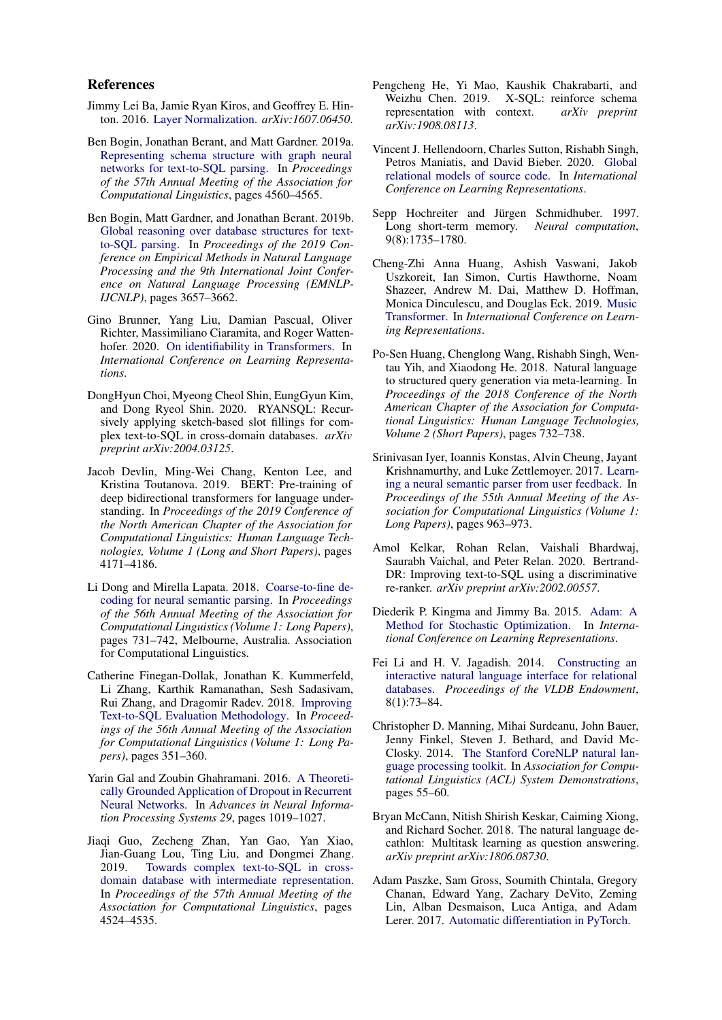#### References

- <span id="page-9-6"></span>Jimmy Lei Ba, Jamie Ryan Kiros, and Geoffrey E. Hinton. 2016. [Layer Normalization.](http://arxiv.org/abs/1607.06450) *arXiv:1607.06450*.
- <span id="page-9-1"></span>Ben Bogin, Jonathan Berant, and Matt Gardner. 2019a. [Representing schema structure with graph neural](https://doi.org/10.18653/v1/P19-1448) [networks for text-to-SQL parsing.](https://doi.org/10.18653/v1/P19-1448) In *Proceedings of the 57th Annual Meeting of the Association for Computational Linguistics*, pages 4560–4565.
- <span id="page-9-4"></span>Ben Bogin, Matt Gardner, and Jonathan Berant. 2019b. [Global reasoning over database structures for text](https://doi.org/10.18653/v1/D19-1378)[to-SQL parsing.](https://doi.org/10.18653/v1/D19-1378) In *Proceedings of the 2019 Conference on Empirical Methods in Natural Language Processing and the 9th International Joint Conference on Natural Language Processing (EMNLP-IJCNLP)*, pages 3657–3662.
- <span id="page-9-10"></span>Gino Brunner, Yang Liu, Damian Pascual, Oliver Richter, Massimiliano Ciaramita, and Roger Wattenhofer. 2020. [On identifiability in Transformers.](https://openreview.net/forum?id=BJg1f6EFDB) In *International Conference on Learning Representations*.
- <span id="page-9-15"></span>DongHyun Choi, Myeong Cheol Shin, EungGyun Kim, and Dong Ryeol Shin. 2020. RYANSQL: Recursively applying sketch-based slot fillings for complex text-to-SQL in cross-domain databases. *arXiv preprint arXiv:2004.03125*.
- <span id="page-9-8"></span>Jacob Devlin, Ming-Wei Chang, Kenton Lee, and Kristina Toutanova. 2019. BERT: Pre-training of deep bidirectional transformers for language understanding. In *Proceedings of the 2019 Conference of the North American Chapter of the Association for Computational Linguistics: Human Language Technologies, Volume 1 (Long and Short Papers)*, pages 4171–4186.
- <span id="page-9-20"></span>Li Dong and Mirella Lapata. 2018. [Coarse-to-fine de](https://doi.org/10.18653/v1/P18-1068)[coding for neural semantic parsing.](https://doi.org/10.18653/v1/P18-1068) In *Proceedings of the 56th Annual Meeting of the Association for Computational Linguistics (Volume 1: Long Papers)*, pages 731–742, Melbourne, Australia. Association for Computational Linguistics.
- <span id="page-9-0"></span>Catherine Finegan-Dollak, Jonathan K. Kummerfeld, Li Zhang, Karthik Ramanathan, Sesh Sadasivam, Rui Zhang, and Dragomir Radev. 2018. [Improving](http://aclweb.org/anthology/P18-1033) [Text-to-SQL Evaluation Methodology.](http://aclweb.org/anthology/P18-1033) In *Proceedings of the 56th Annual Meeting of the Association for Computational Linguistics (Volume 1: Long Papers)*, pages 351–360.
- <span id="page-9-13"></span>Yarin Gal and Zoubin Ghahramani. 2016. [A Theoreti](http://papers.nips.cc/paper/6241-a-theoretically-grounded-application-of-dropout-in-recurrent-neural-networks.pdf)[cally Grounded Application of Dropout in Recurrent](http://papers.nips.cc/paper/6241-a-theoretically-grounded-application-of-dropout-in-recurrent-neural-networks.pdf) [Neural Networks.](http://papers.nips.cc/paper/6241-a-theoretically-grounded-application-of-dropout-in-recurrent-neural-networks.pdf) In *Advances in Neural Information Processing Systems 29*, pages 1019–1027.
- <span id="page-9-3"></span>Jiaqi Guo, Zecheng Zhan, Yan Gao, Yan Xiao, Jian-Guang Lou, Ting Liu, and Dongmei Zhang. 2019. [Towards complex text-to-SQL in cross](https://doi.org/10.18653/v1/P19-1444)[domain database with intermediate representation.](https://doi.org/10.18653/v1/P19-1444) In *Proceedings of the 57th Annual Meeting of the Association for Computational Linguistics*, pages 4524–4535.
- <span id="page-9-2"></span>Pengcheng He, Yi Mao, Kaushik Chakrabarti, and Weizhu Chen. 2019. X-SQL: reinforce schema representation with context. *arXiv preprint arXiv:1908.08113*.
- <span id="page-9-5"></span>Vincent J. Hellendoorn, Charles Sutton, Rishabh Singh, Petros Maniatis, and David Bieber. 2020. [Global](https://openreview.net/forum?id=B1lnbRNtwr) [relational models of source code.](https://openreview.net/forum?id=B1lnbRNtwr) In *International Conference on Learning Representations*.
- <span id="page-9-7"></span>Sepp Hochreiter and Jürgen Schmidhuber. 1997. Long short-term memory. *Neural computation*, 9(8):1735–1780.
- <span id="page-9-9"></span>Cheng-Zhi Anna Huang, Ashish Vaswani, Jakob Uszkoreit, Ian Simon, Curtis Hawthorne, Noam Shazeer, Andrew M. Dai, Matthew D. Hoffman, Monica Dinculescu, and Douglas Eck. 2019. [Music](https://openreview.net/forum?id=rJe4ShAcF7) [Transformer.](https://openreview.net/forum?id=rJe4ShAcF7) In *International Conference on Learning Representations*.
- <span id="page-9-21"></span>Po-Sen Huang, Chenglong Wang, Rishabh Singh, Wentau Yih, and Xiaodong He. 2018. Natural language to structured query generation via meta-learning. In *Proceedings of the 2018 Conference of the North American Chapter of the Association for Computational Linguistics: Human Language Technologies, Volume 2 (Short Papers)*, pages 732–738.
- <span id="page-9-17"></span>Srinivasan Iyer, Ioannis Konstas, Alvin Cheung, Jayant Krishnamurthy, and Luke Zettlemoyer. 2017. [Learn](http://www.aclweb.org/anthology/P17-1089)[ing a neural semantic parser from user feedback.](http://www.aclweb.org/anthology/P17-1089) In *Proceedings of the 55th Annual Meeting of the Association for Computational Linguistics (Volume 1: Long Papers)*, pages 963–973.
- <span id="page-9-14"></span>Amol Kelkar, Rohan Relan, Vaishali Bhardwaj, Saurabh Vaichal, and Peter Relan. 2020. Bertrand-DR: Improving text-to-SQL using a discriminative re-ranker. *arXiv preprint arXiv:2002.00557*.
- <span id="page-9-16"></span>Diederik P. Kingma and Jimmy Ba. 2015. [Adam: A](http://arxiv.org/abs/1412.6980) [Method for Stochastic Optimization.](http://arxiv.org/abs/1412.6980) In *International Conference on Learning Representations*.
- <span id="page-9-18"></span>Fei Li and H. V. Jagadish. 2014. [Constructing an](http://dx.doi.org/10.14778/2735461.2735468) [interactive natural language interface for relational](http://dx.doi.org/10.14778/2735461.2735468) [databases.](http://dx.doi.org/10.14778/2735461.2735468) *Proceedings of the VLDB Endowment*, 8(1):73–84.
- <span id="page-9-12"></span>Christopher D. Manning, Mihai Surdeanu, John Bauer, Jenny Finkel, Steven J. Bethard, and David Mc-Closky. 2014. [The Stanford CoreNLP natural lan](http://www.aclweb.org/anthology/P/P14/P14-5010)[guage processing toolkit.](http://www.aclweb.org/anthology/P/P14/P14-5010) In *Association for Computational Linguistics (ACL) System Demonstrations*, pages 55–60.
- <span id="page-9-19"></span>Bryan McCann, Nitish Shirish Keskar, Caiming Xiong, and Richard Socher. 2018. The natural language decathlon: Multitask learning as question answering. *arXiv preprint arXiv:1806.08730*.
- <span id="page-9-11"></span>Adam Paszke, Sam Gross, Soumith Chintala, Gregory Chanan, Edward Yang, Zachary DeVito, Zeming Lin, Alban Desmaison, Luca Antiga, and Adam Lerer. 2017. [Automatic differentiation in PyTorch.](https://openreview.net/forum?id=BJJsrmfCZ)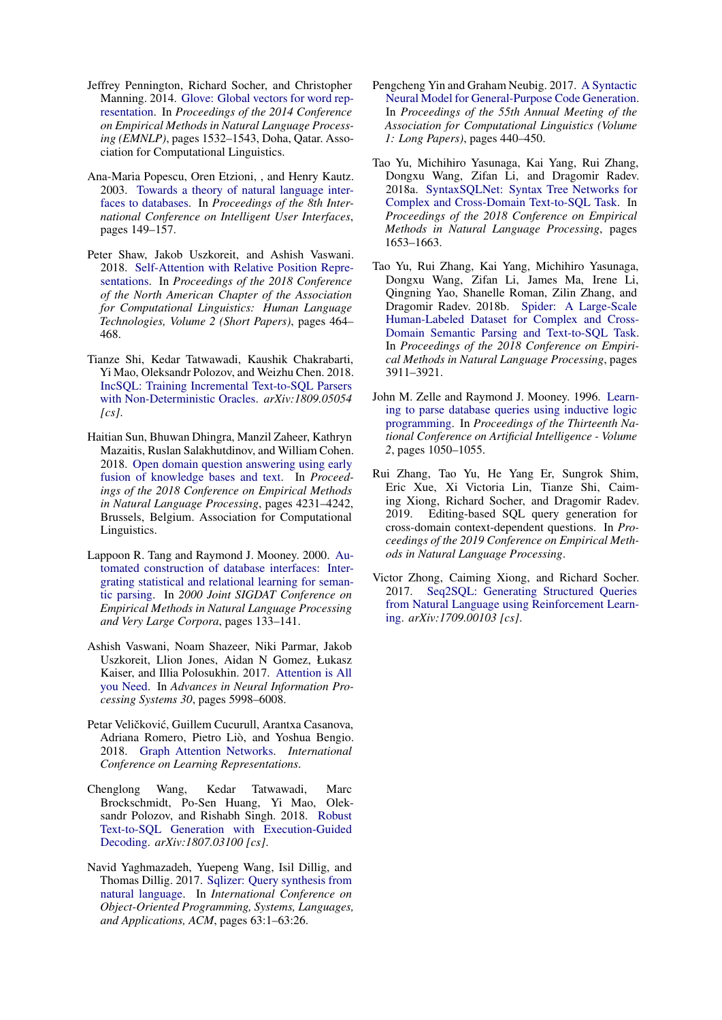- <span id="page-10-7"></span>Jeffrey Pennington, Richard Socher, and Christopher Manning. 2014. [Glove: Global vectors for word rep](http://www.aclweb.org/anthology/D14-1162)[resentation.](http://www.aclweb.org/anthology/D14-1162) In *Proceedings of the 2014 Conference on Empirical Methods in Natural Language Processing (EMNLP)*, pages 1532–1543, Doha, Qatar. Association for Computational Linguistics.
- <span id="page-10-9"></span>Ana-Maria Popescu, Oren Etzioni, , and Henry Kautz. 2003. [Towards a theory of natural language inter](http://doi.acm.org/10.1145/604045.604070)[faces to databases.](http://doi.acm.org/10.1145/604045.604070) In *Proceedings of the 8th International Conference on Intelligent User Interfaces*, pages 149–157.
- <span id="page-10-4"></span>Peter Shaw, Jakob Uszkoreit, and Ashish Vaswani. 2018. [Self-Attention with Relative Position Repre](https://doi.org/10.18653/v1/N18-2074)[sentations.](https://doi.org/10.18653/v1/N18-2074) In *Proceedings of the 2018 Conference of the North American Chapter of the Association for Computational Linguistics: Human Language Technologies, Volume 2 (Short Papers)*, pages 464– 468.
- <span id="page-10-15"></span>Tianze Shi, Kedar Tatwawadi, Kaushik Chakrabarti, Yi Mao, Oleksandr Polozov, and Weizhu Chen. 2018. [IncSQL: Training Incremental Text-to-SQL Parsers](http://arxiv.org/abs/1809.05054) [with Non-Deterministic Oracles.](http://arxiv.org/abs/1809.05054) *arXiv:1809.05054 [cs]*.
- <span id="page-10-5"></span>Haitian Sun, Bhuwan Dhingra, Manzil Zaheer, Kathryn Mazaitis, Ruslan Salakhutdinov, and William Cohen. 2018. [Open domain question answering using early](https://www.aclweb.org/anthology/D18-1455) [fusion of knowledge bases and text.](https://www.aclweb.org/anthology/D18-1455) In *Proceedings of the 2018 Conference on Empirical Methods in Natural Language Processing*, pages 4231–4242, Brussels, Belgium. Association for Computational Linguistics.
- <span id="page-10-10"></span>Lappoon R. Tang and Raymond J. Mooney. 2000. [Au](http://www.aclweb.org/anthology/W00-1317)[tomated construction of database interfaces: Inter](http://www.aclweb.org/anthology/W00-1317)[grating statistical and relational learning for seman](http://www.aclweb.org/anthology/W00-1317)[tic parsing.](http://www.aclweb.org/anthology/W00-1317) In *2000 Joint SIGDAT Conference on Empirical Methods in Natural Language Processing and Very Large Corpora*, pages 133–141.
- <span id="page-10-2"></span>Ashish Vaswani, Noam Shazeer, Niki Parmar, Jakob Uszkoreit, Llion Jones, Aidan N Gomez, Łukasz Kaiser, and Illia Polosukhin. 2017. [Attention is All](http://papers.nips.cc/paper/7181-attention-is-all-you-need.pdf) [you Need.](http://papers.nips.cc/paper/7181-attention-is-all-you-need.pdf) In *Advances in Neural Information Processing Systems 30*, pages 5998–6008.
- <span id="page-10-6"></span>Petar Veličković, Guillem Cucurull, Arantxa Casanova, Adriana Romero, Pietro Liò, and Yoshua Bengio. 2018. [Graph Attention Networks.](https://openreview.net/forum?id=rJXMpikCZ) *International Conference on Learning Representations*.
- <span id="page-10-14"></span>Chenglong Wang, Kedar Tatwawadi, Marc Brockschmidt, Po-Sen Huang, Yi Mao, Oleksandr Polozov, and Rishabh Singh. 2018. [Robust](http://arxiv.org/abs/1807.03100) [Text-to-SQL Generation with Execution-Guided](http://arxiv.org/abs/1807.03100) [Decoding.](http://arxiv.org/abs/1807.03100) *arXiv:1807.03100 [cs]*.
- <span id="page-10-12"></span>Navid Yaghmazadeh, Yuepeng Wang, Isil Dillig, and Thomas Dillig. 2017. [Sqlizer: Query synthesis from](http://doi.org/10.1145/3133887) [natural language.](http://doi.org/10.1145/3133887) In *International Conference on Object-Oriented Programming, Systems, Languages, and Applications, ACM*, pages 63:1–63:26.
- <span id="page-10-3"></span>Pengcheng Yin and Graham Neubig. 2017. [A Syntactic](https://doi.org/10.18653/v1/P17-1041) [Neural Model for General-Purpose Code Generation.](https://doi.org/10.18653/v1/P17-1041) In *Proceedings of the 55th Annual Meeting of the Association for Computational Linguistics (Volume 1: Long Papers)*, pages 440–450.
- <span id="page-10-13"></span>Tao Yu, Michihiro Yasunaga, Kai Yang, Rui Zhang, Dongxu Wang, Zifan Li, and Dragomir Radev. 2018a. [SyntaxSQLNet: Syntax Tree Networks for](http://aclweb.org/anthology/D18-1193) [Complex and Cross-Domain Text-to-SQL Task.](http://aclweb.org/anthology/D18-1193) In *Proceedings of the 2018 Conference on Empirical Methods in Natural Language Processing*, pages 1653–1663.
- <span id="page-10-1"></span>Tao Yu, Rui Zhang, Kai Yang, Michihiro Yasunaga, Dongxu Wang, Zifan Li, James Ma, Irene Li, Qingning Yao, Shanelle Roman, Zilin Zhang, and Dragomir Radev. 2018b. [Spider: A Large-Scale](http://aclweb.org/anthology/D18-1425) [Human-Labeled Dataset for Complex and Cross-](http://aclweb.org/anthology/D18-1425)[Domain Semantic Parsing and Text-to-SQL Task.](http://aclweb.org/anthology/D18-1425) In *Proceedings of the 2018 Conference on Empirical Methods in Natural Language Processing*, pages 3911–3921.
- <span id="page-10-11"></span>John M. Zelle and Raymond J. Mooney. 1996. [Learn](http://dl.acm.org/citation.cfm?id=1864519.1864543)[ing to parse database queries using inductive logic](http://dl.acm.org/citation.cfm?id=1864519.1864543) [programming.](http://dl.acm.org/citation.cfm?id=1864519.1864543) In *Proceedings of the Thirteenth National Conference on Artificial Intelligence - Volume 2*, pages 1050–1055.
- <span id="page-10-8"></span>Rui Zhang, Tao Yu, He Yang Er, Sungrok Shim, Eric Xue, Xi Victoria Lin, Tianze Shi, Caiming Xiong, Richard Socher, and Dragomir Radev. 2019. Editing-based SQL query generation for cross-domain context-dependent questions. In *Proceedings of the 2019 Conference on Empirical Methods in Natural Language Processing*.
- <span id="page-10-0"></span>Victor Zhong, Caiming Xiong, and Richard Socher. 2017. [Seq2SQL: Generating Structured Queries](http://arxiv.org/abs/1709.00103) [from Natural Language using Reinforcement Learn](http://arxiv.org/abs/1709.00103)[ing.](http://arxiv.org/abs/1709.00103) *arXiv:1709.00103 [cs]*.